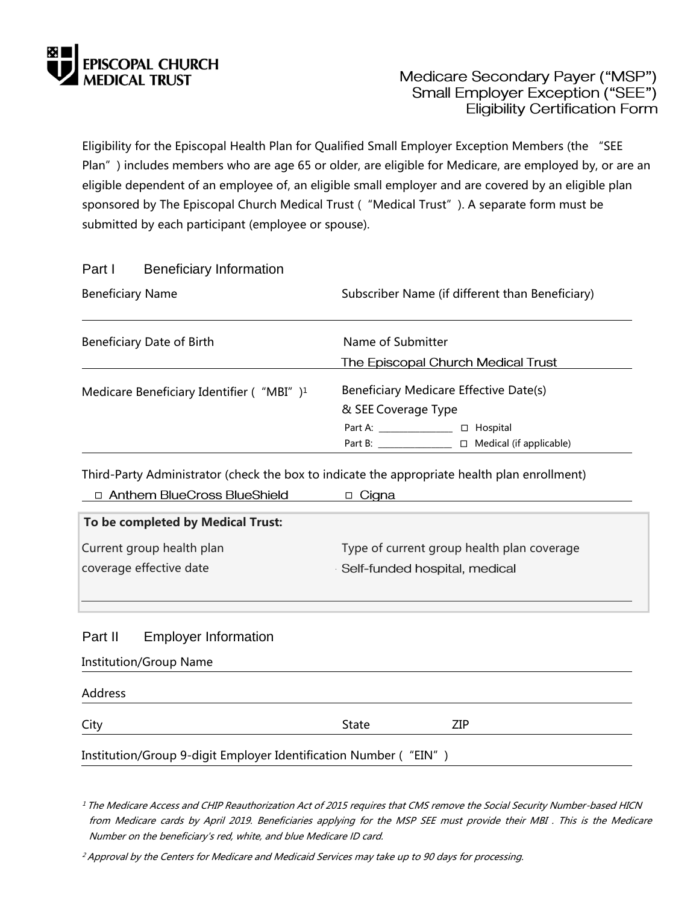

## Medicare Secondary Payer ("MSP") Small Employer Exception ("SEE") **Eligibility Certification Form**

Eligibility for the Episcopal Health Plan for Qualified Small Employer Exception Members (the "SEE Plan") includes members who are age 65 or older, are eligible for Medicare, are employed by, or are an eligible dependent of an employee of, an eligible small employer and are covered by an eligible plan sponsored by The Episcopal Church Medical Trust ("Medical Trust"). A separate form must be submitted by each participant (employee or spouse).

## Part I Beneficiary Information

| <b>Beneficiary Name</b>                              | Subscriber Name (if different than Beneficiary)                                                                                                                                                                                                   |  |
|------------------------------------------------------|---------------------------------------------------------------------------------------------------------------------------------------------------------------------------------------------------------------------------------------------------|--|
| Beneficiary Date of Birth                            | Name of Submitter                                                                                                                                                                                                                                 |  |
|                                                      | The Episcopal Church Medical Trust                                                                                                                                                                                                                |  |
| Medicare Beneficiary Identifier ("MBI") <sup>1</sup> | Beneficiary Medicare Effective Date(s)<br>& SEE Coverage Type                                                                                                                                                                                     |  |
|                                                      | $\Box$ Hospital<br>Part A: and the state of the state of the state of the state of the state of the state of the state of the state of the state of the state of the state of the state of the state of the state of the state of the state of th |  |
|                                                      | Part B: ________________ □ Medical (if applicable)                                                                                                                                                                                                |  |

Third-Party Administrator (check the box to indicate the appropriate health plan enrollment)

| □ Anthem BlueCross BlueShield     | □ Cigna                                    |
|-----------------------------------|--------------------------------------------|
| To be completed by Medical Trust: |                                            |
| Current group health plan         | Type of current group health plan coverage |
| coverage effective date           | Self-funded hospital, medical              |
|                                   |                                            |
|                                   |                                            |

## Part II Employer Information

Institution/Group Name

Address City State ZIP Institution/Group 9-digit Employer Identification Number ("EIN")

<sup>1</sup> The Medicare Access and CHIP Reauthorization Act of 2015 requires that CMS remove the Social Security Number-based HICN from Medicare cards by April 2019. Beneficiaries applying for the MSP SEE must provide their MBI . This is the Medicare Number on the beneficiary's red, white, and blue Medicare ID card.

<sup>2</sup> Approval by the Centers for Medicare and Medicaid Services may take up to 90 days for processing.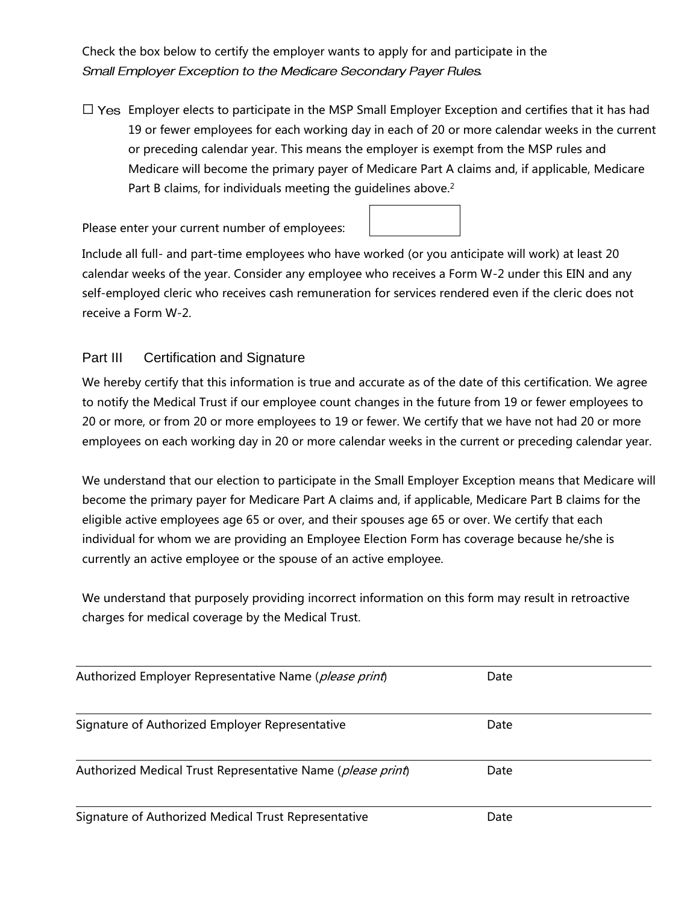Check the box below to certify the employer wants to apply for and participate in the Small Employer Exception to the Medicare Secondary Payer Rules.

 $\Box$  Yes Employer elects to participate in the MSP Small Employer Exception and certifies that it has had 19 or fewer employees for each working day in each of 20 or more calendar weeks in the current or preceding calendar year. This means the employer is exempt from the MSP rules and Medicare will become the primary payer of Medicare Part A claims and, if applicable, Medicare Part B claims, for individuals meeting the guidelines above.<sup>2</sup>

Please enter your current number of employees:

Include all full- and part-time employees who have worked (or you anticipate will work) at least 20 calendar weeks of the year. Consider any employee who receives a Form W-2 under this EIN and any self-employed cleric who receives cash remuneration for services rendered even if the cleric does not receive a Form W-2.

## Part III Certification and Signature

We hereby certify that this information is true and accurate as of the date of this certification. We agree to notify the Medical Trust if our employee count changes in the future from 19 or fewer employees to 20 or more, or from 20 or more employees to 19 or fewer. We certify that we have not had 20 or more employees on each working day in 20 or more calendar weeks in the current or preceding calendar year.

We understand that our election to participate in the Small Employer Exception means that Medicare will become the primary payer for Medicare Part A claims and, if applicable, Medicare Part B claims for the eligible active employees age 65 or over, and their spouses age 65 or over. We certify that each individual for whom we are providing an Employee Election Form has coverage because he/she is currently an active employee or the spouse of an active employee.

We understand that purposely providing incorrect information on this form may result in retroactive charges for medical coverage by the Medical Trust.

| Authorized Employer Representative Name (please print)               | Date |  |
|----------------------------------------------------------------------|------|--|
|                                                                      |      |  |
|                                                                      |      |  |
| Signature of Authorized Employer Representative                      | Date |  |
|                                                                      |      |  |
| Authorized Medical Trust Representative Name ( <i>please print</i> ) | Date |  |
|                                                                      |      |  |
| Signature of Authorized Medical Trust Representative                 | Date |  |